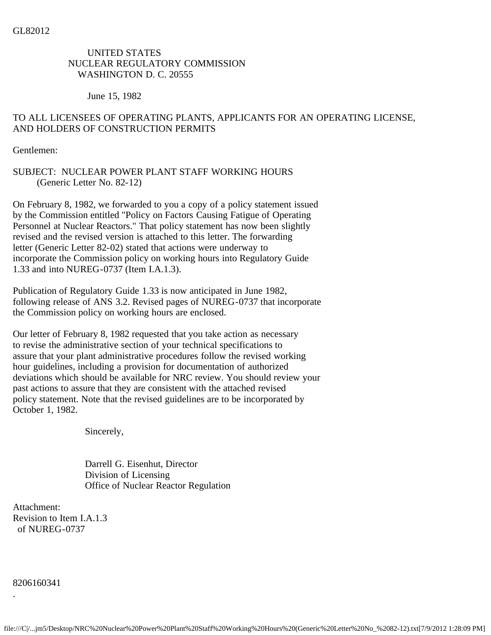# UNITED STATES NUCLEAR REGULATORY COMMISSION WASHINGTON D. C. 20555

June 15, 1982

# TO ALL LICENSEES OF OPERATING PLANTS, APPLICANTS FOR AN OPERATING LICENSE, AND HOLDERS OF CONSTRUCTION PERMITS

Gentlemen:

## SUBJECT: NUCLEAR POWER PLANT STAFF WORKING HOURS (Generic Letter No. 82-12)

On February 8, 1982, we forwarded to you a copy of a policy statement issued by the Commission entitled "Policy on Factors Causing Fatigue of Operating Personnel at Nuclear Reactors." That policy statement has now been slightly revised and the revised version is attached to this letter. The forwarding letter (Generic Letter 82-02) stated that actions were underway to incorporate the Commission policy on working hours into Regulatory Guide 1.33 and into NUREG-0737 (Item I.A.1.3).

Publication of Regulatory Guide 1.33 is now anticipated in June 1982, following release of ANS 3.2. Revised pages of NUREG-0737 that incorporate the Commission policy on working hours are enclosed.

Our letter of February 8, 1982 requested that you take action as necessary to revise the administrative section of your technical specifications to assure that your plant administrative procedures follow the revised working hour guidelines, including a provision for documentation of authorized deviations which should be available for NRC review. You should review your past actions to assure that they are consistent with the attached revised policy statement. Note that the revised guidelines are to be incorporated by October 1, 1982.

Sincerely,

 Darrell G. Eisenhut, Director Division of Licensing Office of Nuclear Reactor Regulation

Attachment: Revision to Item I.A.1.3 of NUREG-0737

8206160341

.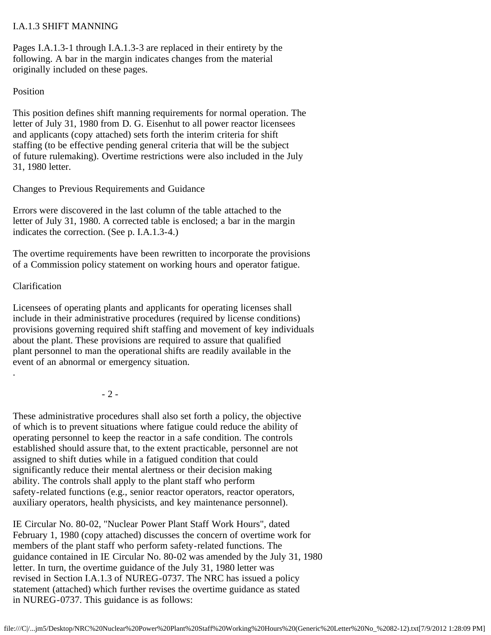## I.A.1.3 SHIFT MANNING

Pages I.A.1.3-1 through I.A.1.3-3 are replaced in their entirety by the following. A bar in the margin indicates changes from the material originally included on these pages.

### Position

This position defines shift manning requirements for normal operation. The letter of July 31, 1980 from D. G. Eisenhut to all power reactor licensees and applicants (copy attached) sets forth the interim criteria for shift staffing (to be effective pending general criteria that will be the subject of future rulemaking). Overtime restrictions were also included in the July 31, 1980 letter.

Changes to Previous Requirements and Guidance

Errors were discovered in the last column of the table attached to the letter of July 31, 1980. A corrected table is enclosed; a bar in the margin indicates the correction. (See p. I.A.1.3-4.)

The overtime requirements have been rewritten to incorporate the provisions of a Commission policy statement on working hours and operator fatigue.

## Clarification

.

Licensees of operating plants and applicants for operating licenses shall include in their administrative procedures (required by license conditions) provisions governing required shift staffing and movement of key individuals about the plant. These provisions are required to assure that qualified plant personnel to man the operational shifts are readily available in the event of an abnormal or emergency situation.

- 2 -

These administrative procedures shall also set forth a policy, the objective of which is to prevent situations where fatigue could reduce the ability of operating personnel to keep the reactor in a safe condition. The controls established should assure that, to the extent practicable, personnel are not assigned to shift duties while in a fatigued condition that could significantly reduce their mental alertness or their decision making ability. The controls shall apply to the plant staff who perform safety-related functions (e.g., senior reactor operators, reactor operators, auxiliary operators, health physicists, and key maintenance personnel).

IE Circular No. 80-02, "Nuclear Power Plant Staff Work Hours", dated February 1, 1980 (copy attached) discusses the concern of overtime work for members of the plant staff who perform safety-related functions. The guidance contained in IE Circular No. 80-02 was amended by the July 31, 1980 letter. In turn, the overtime guidance of the July 31, 1980 letter was revised in Section I.A.1.3 of NUREG-0737. The NRC has issued a policy statement (attached) which further revises the overtime guidance as stated in NUREG-0737. This guidance is as follows: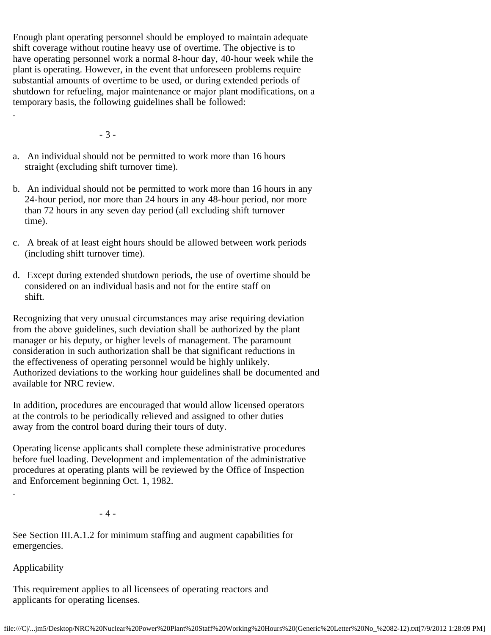Enough plant operating personnel should be employed to maintain adequate shift coverage without routine heavy use of overtime. The objective is to have operating personnel work a normal 8-hour day, 40-hour week while the plant is operating. However, in the event that unforeseen problems require substantial amounts of overtime to be used, or during extended periods of shutdown for refueling, major maintenance or major plant modifications, on a temporary basis, the following guidelines shall be followed:

- 3 -

.

- a. An individual should not be permitted to work more than 16 hours straight (excluding shift turnover time).
- b. An individual should not be permitted to work more than 16 hours in any 24-hour period, nor more than 24 hours in any 48-hour period, nor more than 72 hours in any seven day period (all excluding shift turnover time).
- c. A break of at least eight hours should be allowed between work periods (including shift turnover time).
- d. Except during extended shutdown periods, the use of overtime should be considered on an individual basis and not for the entire staff on shift.

Recognizing that very unusual circumstances may arise requiring deviation from the above guidelines, such deviation shall be authorized by the plant manager or his deputy, or higher levels of management. The paramount consideration in such authorization shall be that significant reductions in the effectiveness of operating personnel would be highly unlikely. Authorized deviations to the working hour guidelines shall be documented and available for NRC review.

In addition, procedures are encouraged that would allow licensed operators at the controls to be periodically relieved and assigned to other duties away from the control board during their tours of duty.

Operating license applicants shall complete these administrative procedures before fuel loading. Development and implementation of the administrative procedures at operating plants will be reviewed by the Office of Inspection and Enforcement beginning Oct. 1, 1982.

- 4 -

See Section III.A.1.2 for minimum staffing and augment capabilities for emergencies.

Applicability

.

This requirement applies to all licensees of operating reactors and applicants for operating licenses.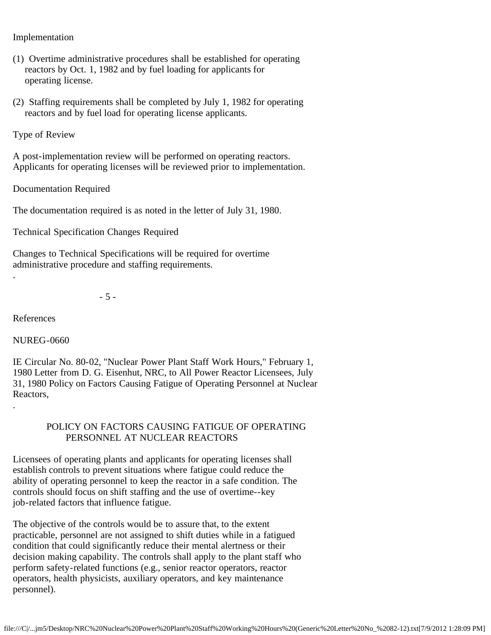Implementation

- (1) Overtime administrative procedures shall be established for operating reactors by Oct. 1, 1982 and by fuel loading for applicants for operating license.
- (2) Staffing requirements shall be completed by July 1, 1982 for operating reactors and by fuel load for operating license applicants.

Type of Review

A post-implementation review will be performed on operating reactors. Applicants for operating licenses will be reviewed prior to implementation.

Documentation Required

The documentation required is as noted in the letter of July 31, 1980.

Technical Specification Changes Required

Changes to Technical Specifications will be required for overtime administrative procedure and staffing requirements.

- 5 -

References

.

.

NUREG-0660

IE Circular No. 80-02, "Nuclear Power Plant Staff Work Hours," February 1, 1980 Letter from D. G. Eisenhut, NRC, to All Power Reactor Licensees, July 31, 1980 Policy on Factors Causing Fatigue of Operating Personnel at Nuclear Reactors,

### POLICY ON FACTORS CAUSING FATIGUE OF OPERATING PERSONNEL AT NUCLEAR REACTORS

Licensees of operating plants and applicants for operating licenses shall establish controls to prevent situations where fatigue could reduce the ability of operating personnel to keep the reactor in a safe condition. The controls should focus on shift staffing and the use of overtime--key job-related factors that influence fatigue.

The objective of the controls would be to assure that, to the extent practicable, personnel are not assigned to shift duties while in a fatigued condition that could significantly reduce their mental alertness or their decision making capability. The controls shall apply to the plant staff who perform safety-related functions (e.g., senior reactor operators, reactor operators, health physicists, auxiliary operators, and key maintenance personnel).